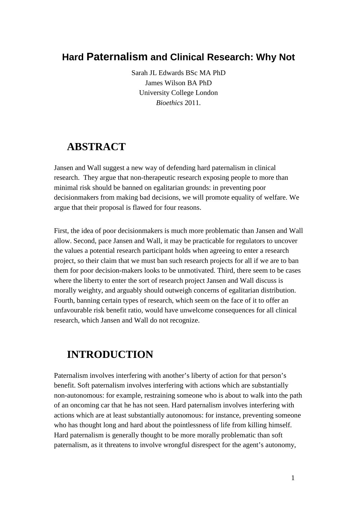# **Hard Paternalism and Clinical Research: Why Not**

Sarah JL Edwards BSc MA PhD James Wilson BA PhD University College London *Bioethics* 2011*.*

## **ABSTRACT**

Jansen and Wall suggest a new way of defending hard paternalism in clinical research. They argue that non-therapeutic research exposing people to more than minimal risk should be banned on egalitarian grounds: in preventing poor decisionmakers from making bad decisions, we will promote equality of welfare. We argue that their proposal is flawed for four reasons.

First, the idea of poor decisionmakers is much more problematic than Jansen and Wall allow. Second, pace Jansen and Wall, it may be practicable for regulators to uncover the values a potential research participant holds when agreeing to enter a research project, so their claim that we must ban such research projects for all if we are to ban them for poor decision-makers looks to be unmotivated. Third, there seem to be cases where the liberty to enter the sort of research project Jansen and Wall discuss is morally weighty, and arguably should outweigh concerns of egalitarian distribution. Fourth, banning certain types of research, which seem on the face of it to offer an unfavourable risk benefit ratio, would have unwelcome consequences for all clinical research, which Jansen and Wall do not recognize.

## **INTRODUCTION**

Paternalism involves interfering with another's liberty of action for that person's benefit. Soft paternalism involves interfering with actions which are substantially non-autonomous: for example, restraining someone who is about to walk into the path of an oncoming car that he has not seen. Hard paternalism involves interfering with actions which are at least substantially autonomous: for instance, preventing someone who has thought long and hard about the pointlessness of life from killing himself. Hard paternalism is generally thought to be more morally problematic than soft paternalism, as it threatens to involve wrongful disrespect for the agent's autonomy,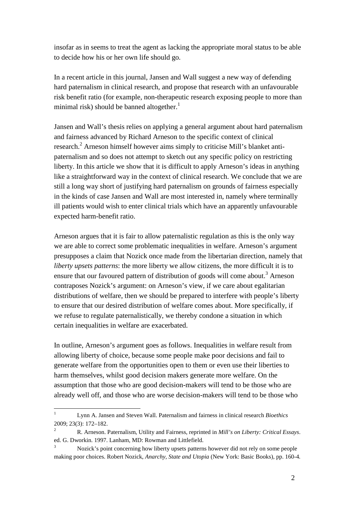insofar as in seems to treat the agent as lacking the appropriate moral status to be able to decide how his or her own life should go.

In a recent article in this journal, Jansen and Wall suggest a new way of defending hard paternalism in clinical research, and propose that research with an unfavourable risk benefit ratio (for example, non-therapeutic research exposing people to more than minimal risk) should be banned altogether. $<sup>1</sup>$ </sup>

Jansen and Wall's thesis relies on applying a general argument about hard paternalism and fairness advanced by Richard Arneson to the specific context of clinical research.<sup>2</sup> Arneson himself however aims simply to criticise Mill's blanket antipaternalism and so does not attempt to sketch out any specific policy on restricting liberty. In this article we show that it is difficult to apply Arneson's ideas in anything like a straightforward way in the context of clinical research. We conclude that we are still a long way short of justifying hard paternalism on grounds of fairness especially in the kinds of case Jansen and Wall are most interested in, namely where terminally ill patients would wish to enter clinical trials which have an apparently unfavourable expected harm-benefit ratio.

Arneson argues that it is fair to allow paternalistic regulation as this is the only way we are able to correct some problematic inequalities in welfare. Arneson's argument presupposes a claim that Nozick once made from the libertarian direction, namely that *liberty upsets patterns*: the more liberty we allow citizens, the more difficult it is to ensure that our favoured pattern of distribution of goods will come about.<sup>3</sup> Arneson contraposes Nozick's argument: on Arneson's view, if we care about egalitarian distributions of welfare, then we should be prepared to interfere with people's liberty to ensure that our desired distribution of welfare comes about. More specifically, if we refuse to regulate paternalistically, we thereby condone a situation in which certain inequalities in welfare are exacerbated.

In outline, Arneson's argument goes as follows. Inequalities in welfare result from allowing liberty of choice, because some people make poor decisions and fail to generate welfare from the opportunities open to them or even use their liberties to harm themselves, whilst good decision makers generate more welfare. On the assumption that those who are good decision-makers will tend to be those who are already well off, and those who are worse decision-makers will tend to be those who

<sup>1</sup> Lynn A. Jansen and Steven Wall. Paternalism and fairness in clinical research *Bioethics* 2009; 23(3): 172–182.

<sup>2</sup> R. Arneson. Paternalism, Utility and Fairness, reprinted in *Mill's on Liberty: Critical Essays*. ed. G. Dworkin. 1997. Lanham, MD: Rowman and Littlefield.

<sup>&</sup>lt;sup>3</sup> Nozick's point concerning how liberty upsets patterns however did not rely on some people making poor choices. Robert Nozick, *Anarchy, State and Utopia* (New York: Basic Books), pp. 160-4*.*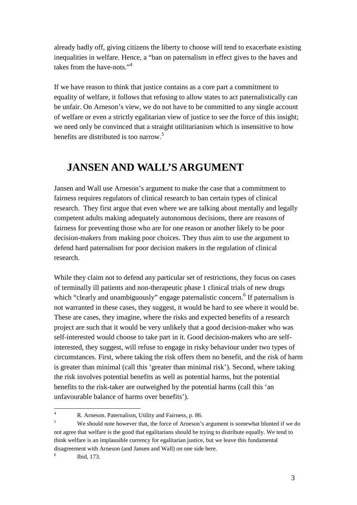already badly off, giving citizens the liberty to choose will tend to exacerbate existing inequalities in welfare. Hence, a "ban on paternalism in effect gives to the haves and takes from the have-nots."<sup>4</sup>

If we have reason to think that justice contains as a core part a commitment to equality of welfare, it follows that refusing to allow states to act paternalistically can be unfair. On Arneson's view, we do not have to be committed to any single account of welfare or even a strictly egalitarian view of justice to see the force of this insight; we need only be convinced that a straight utilitarianism which is insensitive to how benefits are distributed is too narrow.<sup>5</sup>

## **JANSEN AND WALL'S ARGUMENT**

Jansen and Wall use Arneson's argument to make the case that a commitment to fairness requires regulators of clinical research to ban certain types of clinical research. They first argue that even where we are talking about mentally and legally competent adults making adequately autonomous decisions, there are reasons of fairness for preventing those who are for one reason or another likely to be poor decision-makers from making poor choices. They thus aim to use the argument to defend hard paternalism for poor decision makers in the regulation of clinical research.

While they claim not to defend any particular set of restrictions, they focus on cases of terminally ill patients and non-therapeutic phase 1 clinical trials of new drugs which "clearly and unambiguously" engage paternalistic concern.<sup>6</sup> If paternalism is not warranted in these cases, they suggest, it would be hard to see where it would be. These are cases, they imagine, where the risks and expected benefits of a research project are such that it would be very unlikely that a good decision-maker who was self-interested would choose to take part in it. Good decision-makers who are selfinterested, they suggest, will refuse to engage in risky behaviour under two types of circumstances. First, where taking the risk offers them no benefit, and the risk of harm is greater than minimal (call this 'greater than minimal risk'). Second, where taking the risk involves potential benefits as well as potential harms, but the potential benefits to the risk-taker are outweighed by the potential harms (call this 'an unfavourable balance of harms over benefits').

6

<sup>4</sup> R. Arneson. Paternalism, Utility and Fairness, p. 86.

<sup>&</sup>lt;sup>5</sup> We should note however that, the force of Arneson's argument is somewhat blunted if we do not agree that welfare is the good that egalitarians should be trying to distribute equally. We tend to think welfare is an implausible currency for egalitarian justice, but we leave this fundamental disagreement with Arneson (and Jansen and Wall) on one side here.

Ibid, 173.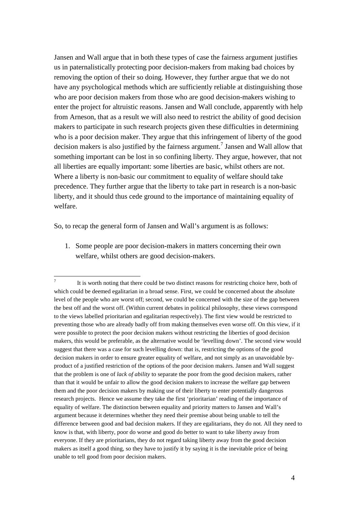Jansen and Wall argue that in both these types of case the fairness argument justifies us in paternalistically protecting poor decision-makers from making bad choices by removing the option of their so doing. However, they further argue that we do not have any psychological methods which are sufficiently reliable at distinguishing those who are poor decision makers from those who are good decision-makers wishing to enter the project for altruistic reasons. Jansen and Wall conclude, apparently with help from Arneson, that as a result we will also need to restrict the ability of good decision makers to participate in such research projects given these difficulties in determining who is a poor decision maker. They argue that this infringement of liberty of the good decision makers is also justified by the fairness argument.<sup>7</sup> Jansen and Wall allow that something important can be lost in so confining liberty. They argue, however, that not all liberties are equally important: some liberties are basic, whilst others are not. Where a liberty is non-basic our commitment to equality of welfare should take precedence. They further argue that the liberty to take part in research is a non-basic liberty, and it should thus cede ground to the importance of maintaining equality of welfare.

So, to recap the general form of Jansen and Wall's argument is as follows:

1. Some people are poor decision-makers in matters concerning their own welfare, whilst others are good decision-makers.

<sup>7</sup> It is worth noting that there could be two distinct reasons for restricting choice here, both of which could be deemed egalitarian in a broad sense. First, we could be concerned about the absolute level of the people who are worst off; second, we could be concerned with the size of the gap between the best off and the worst off. (Within current debates in political philosophy, these views correspond to the views labelled prioritarian and egalitarian respectively). The first view would be restricted to preventing those who are already badly off from making themselves even worse off. On this view, if it were possible to protect the poor decision makers without restricting the liberties of good decision makers, this would be preferable, as the alternative would be 'levelling down'. The second view would suggest that there was a case for such levelling down: that is, restricting the options of the good decision makers in order to ensure greater equality of welfare, and not simply as an unavoidable byproduct of a justified restriction of the options of the poor decision makers. Jansen and Wall suggest that the problem is one of *lack of ability* to separate the poor from the good decision makers, rather than that it would be unfair to allow the good decision makers to increase the welfare gap between them and the poor decision makers by making use of their liberty to enter potentially dangerous research projects. Hence we assume they take the first 'prioritarian' reading of the importance of equality of welfare. The distinction between equality and priority matters to Jansen and Wall's argument because it determines whether they need their premise about being unable to tell the difference between good and bad decision makers. If they are egalitarians, they do not. All they need to know is that, with liberty, poor do worse and good do better to want to take liberty away from everyone. If they are prioritarians, they do not regard taking liberty away from the good decision makers as itself a good thing, so they have to justify it by saying it is the inevitable price of being unable to tell good from poor decision makers.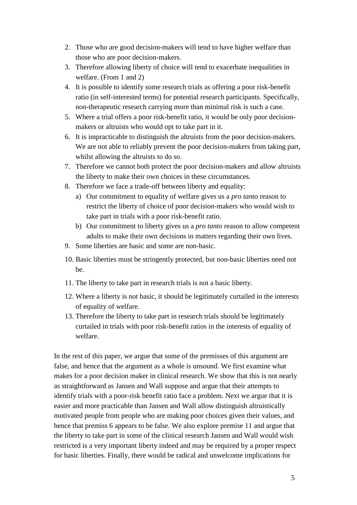- 2. Those who are good decision-makers will tend to have higher welfare than those who are poor decision-makers.
- 3. Therefore allowing liberty of choice will tend to exacerbate inequalities in welfare. (From 1 and 2)
- 4. It is possible to identify some research trials as offering a poor risk-benefit ratio (in self-interested terms) for potential research participants. Specifically, non-therapeutic research carrying more than minimal risk is such a case.
- 5. Where a trial offers a poor risk-benefit ratio, it would be only poor decisionmakers or altruists who would opt to take part in it.
- 6. It is impracticable to distinguish the altruists from the poor decision-makers. We are not able to reliably prevent the poor decision-makers from taking part, whilst allowing the altruists to do so.
- 7. Therefore we cannot both protect the poor decision-makers and allow altruists the liberty to make their own choices in these circumstances.
- 8. Therefore we face a trade-off between liberty and equality:
	- a) Our commitment to equality of welfare gives us a *pro tanto* reason to restrict the liberty of choice of poor decision-makers who would wish to take part in trials with a poor risk-benefit ratio.
	- b) Our commitment to liberty gives us a *pro tanto* reason to allow competent adults to make their own decisions in matters regarding their own lives.
- 9. Some liberties are basic and some are non-basic.
- 10. Basic liberties must be stringently protected, but non-basic liberties need not be.
- 11. The liberty to take part in research trials is not a basic liberty.
- 12. Where a liberty is not basic, it should be legitimately curtailed in the interests of equality of welfare.
- 13. Therefore the liberty to take part in research trials should be legitimately curtailed in trials with poor risk-benefit ratios in the interests of equality of welfare.

In the rest of this paper, we argue that some of the premisses of this argument are false, and hence that the argument as a whole is unsound. We first examine what makes for a poor decision maker in clinical research. We show that this is not nearly as straightforward as Jansen and Wall suppose and argue that their attempts to identify trials with a poor-risk benefit ratio face a problem. Next we argue that it is easier and more practicable than Jansen and Wall allow distinguish altruistically motivated people from people who are making poor choices given their values, and hence that premiss 6 appears to be false. We also explore premise 11 and argue that the liberty to take part in some of the clinical research Jansen and Wall would wish restricted is a very important liberty indeed and may be required by a proper respect for basic liberties. Finally, there would be radical and unwelcome implications for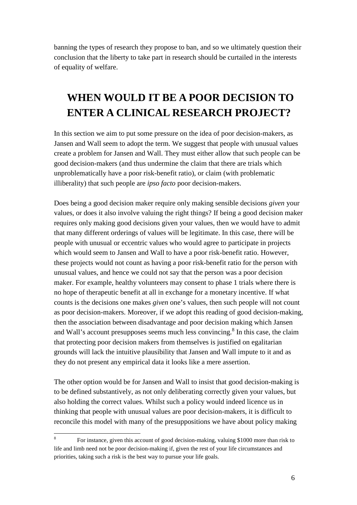banning the types of research they propose to ban, and so we ultimately question their conclusion that the liberty to take part in research should be curtailed in the interests of equality of welfare.

# **WHEN WOULD IT BE A POOR DECISION TO ENTER A CLINICAL RESEARCH PROJECT?**

In this section we aim to put some pressure on the idea of poor decision-makers, as Jansen and Wall seem to adopt the term. We suggest that people with unusual values create a problem for Jansen and Wall. They must either allow that such people can be good decision-makers (and thus undermine the claim that there are trials which unproblematically have a poor risk-benefit ratio), or claim (with problematic illiberality) that such people are *ipso facto* poor decision-makers.

Does being a good decision maker require only making sensible decisions *given* your values, or does it also involve valuing the right things? If being a good decision maker requires only making good decisions given your values, then we would have to admit that many different orderings of values will be legitimate. In this case, there will be people with unusual or eccentric values who would agree to participate in projects which would seem to Jansen and Wall to have a poor risk-benefit ratio. However, these projects would not count as having a poor risk-benefit ratio for the person with unusual values, and hence we could not say that the person was a poor decision maker. For example, healthy volunteers may consent to phase 1 trials where there is no hope of therapeutic benefit at all in exchange for a monetary incentive. If what counts is the decisions one makes *given* one's values, then such people will not count as poor decision-makers. Moreover, if we adopt this reading of good decision-making, then the association between disadvantage and poor decision making which Jansen and Wall's account presupposes seems much less convincing. $8$  In this case, the claim that protecting poor decision makers from themselves is justified on egalitarian grounds will lack the intuitive plausibility that Jansen and Wall impute to it and as they do not present any empirical data it looks like a mere assertion.

The other option would be for Jansen and Wall to insist that good decision-making is to be defined substantively, as not only deliberating correctly given your values, but also holding the correct values. Whilst such a policy would indeed licence us in thinking that people with unusual values are poor decision-makers, it is difficult to reconcile this model with many of the presuppositions we have about policy making

<sup>8</sup> For instance, given this account of good decision-making, valuing \$1000 more than risk to life and limb need not be poor decision-making if, given the rest of your life circumstances and priorities, taking such a risk is the best way to pursue your life goals.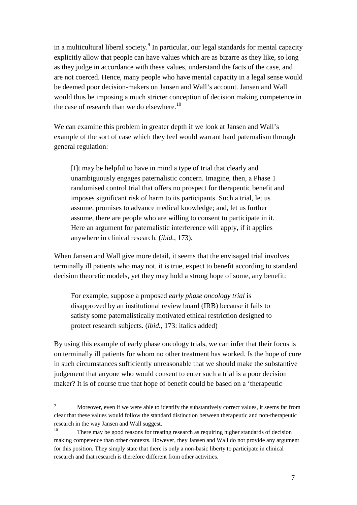in a multicultural liberal society.<sup>9</sup> In particular, our legal standards for mental capacity explicitly allow that people can have values which are as bizarre as they like, so long as they judge in accordance with these values, understand the facts of the case, and are not coerced. Hence, many people who have mental capacity in a legal sense would be deemed poor decision-makers on Jansen and Wall's account. Jansen and Wall would thus be imposing a much stricter conception of decision making competence in the case of research than we do elsewhere. $10$ 

We can examine this problem in greater depth if we look at Jansen and Wall's example of the sort of case which they feel would warrant hard paternalism through general regulation:

[I]t may be helpful to have in mind a type of trial that clearly and unambiguously engages paternalistic concern. Imagine, then, a Phase 1 randomised control trial that offers no prospect for therapeutic benefit and imposes significant risk of harm to its participants. Such a trial, let us assume, promises to advance medical knowledge; and, let us further assume, there are people who are willing to consent to participate in it. Here an argument for paternalistic interference will apply, if it applies anywhere in clinical research. (*ibid.*, 173).

When Jansen and Wall give more detail, it seems that the envisaged trial involves terminally ill patients who may not, it is true, expect to benefit according to standard decision theoretic models, yet they may hold a strong hope of some, any benefit:

For example, suppose a proposed *early phase oncology trial* is disapproved by an institutional review board (IRB) because it fails to satisfy some paternalistically motivated ethical restriction designed to protect research subjects. (*ibid.*, 173: italics added)

By using this example of early phase oncology trials, we can infer that their focus is on terminally ill patients for whom no other treatment has worked. Is the hope of cure in such circumstances sufficiently unreasonable that we should make the substantive judgement that anyone who would consent to enter such a trial is a poor decision maker? It is of course true that hope of benefit could be based on a 'therapeutic

<sup>&</sup>lt;sup>9</sup> Moreover, even if we were able to identify the substantively correct values, it seems far from clear that these values would follow the standard distinction between therapeutic and non-therapeutic research in the way Jansen and Wall suggest.

<sup>&</sup>lt;sup>10</sup> There may be good reasons for treating research as requiring higher standards of decision making competence than other contexts. However, they Jansen and Wall do not provide any argument for this position. They simply state that there is only a non-basic liberty to participate in clinical research and that research is therefore different from other activities.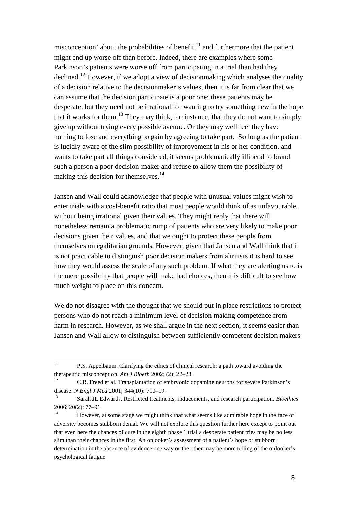misconception' about the probabilities of benefit.<sup>11</sup> and furthermore that the patient might end up worse off than before. Indeed, there are examples where some Parkinson's patients were worse off from participating in a trial than had they declined.<sup>12</sup> However, if we adopt a view of decisionmaking which analyses the quality of a decision relative to the decisionmaker's values, then it is far from clear that we can assume that the decision participate is a poor one: these patients may be desperate, but they need not be irrational for wanting to try something new in the hope that it works for them.<sup>13</sup> They may think, for instance, that they do not want to simply give up without trying every possible avenue. Or they may well feel they have nothing to lose and everything to gain by agreeing to take part. So long as the patient is lucidly aware of the slim possibility of improvement in his or her condition, and wants to take part all things considered, it seems problematically illiberal to brand such a person a poor decision-maker and refuse to allow them the possibility of making this decision for themselves.<sup>14</sup>

Jansen and Wall could acknowledge that people with unusual values might wish to enter trials with a cost-benefit ratio that most people would think of as unfavourable, without being irrational given their values. They might reply that there will nonetheless remain a problematic rump of patients who are very likely to make poor decisions given their values, and that we ought to protect these people from themselves on egalitarian grounds. However, given that Jansen and Wall think that it is not practicable to distinguish poor decision makers from altruists it is hard to see how they would assess the scale of any such problem. If what they are alerting us to is the mere possibility that people will make bad choices, then it is difficult to see how much weight to place on this concern.

We do not disagree with the thought that we should put in place restrictions to protect persons who do not reach a minimum level of decision making competence from harm in research. However, as we shall argue in the next section, it seems easier than Jansen and Wall allow to distinguish between sufficiently competent decision makers

<sup>&</sup>lt;sup>11</sup> P.S. Appelbaum. Clarifying the ethics of clinical research: a path toward avoiding the therapeutic misconception. *Am J Bioeth* 2002; (2): 22–23.

<sup>&</sup>lt;sup>12</sup> C.R. Freed et al. Transplantation of embryonic dopamine neurons for severe Parkinson's disease. *N Engl J Med* 2001; 344(10): 710–19.

<sup>13</sup> Sarah JL Edwards. Restricted treatments, inducements, and research participation. *Bioethics* 2006; 20(2): 77–91.

<sup>&</sup>lt;sup>14</sup> However, at some stage we might think that what seems like admirable hope in the face of adversity becomes stubborn denial. We will not explore this question further here except to point out that even here the chances of cure in the eighth phase 1 trial a desperate patient tries may be no less slim than their chances in the first. An onlooker's assessment of a patient's hope or stubborn determination in the absence of evidence one way or the other may be more telling of the onlooker's psychological fatigue.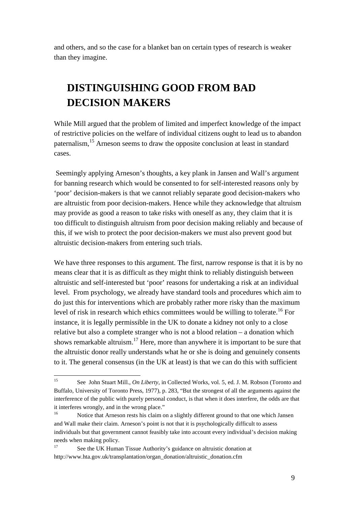and others, and so the case for a blanket ban on certain types of research is weaker than they imagine.

# **DISTINGUISHING GOOD FROM BAD DECISION MAKERS**

While Mill argued that the problem of limited and imperfect knowledge of the impact of restrictive policies on the welfare of individual citizens ought to lead us to abandon paternalism,<sup>15</sup> Arneson seems to draw the opposite conclusion at least in standard cases.

Seemingly applying Arneson's thoughts, a key plank in Jansen and Wall's argument for banning research which would be consented to for self-interested reasons only by 'poor' decision-makers is that we cannot reliably separate good decision-makers who are altruistic from poor decision-makers. Hence while they acknowledge that altruism may provide as good a reason to take risks with oneself as any, they claim that it is too difficult to distinguish altruism from poor decision making reliably and because of this, if we wish to protect the poor decision-makers we must also prevent good but altruistic decision-makers from entering such trials.

We have three responses to this argument. The first, narrow response is that it is by no means clear that it is as difficult as they might think to reliably distinguish between altruistic and self-interested but 'poor' reasons for undertaking a risk at an individual level. From psychology, we already have standard tools and procedures which aim to do just this for interventions which are probably rather more risky than the maximum level of risk in research which ethics committees would be willing to tolerate.<sup>16</sup> For instance, it is legally permissible in the UK to donate a kidney not only to a close relative but also a complete stranger who is not a blood relation – a donation which shows remarkable altruism.<sup>17</sup> Here, more than anywhere it is important to be sure that the altruistic donor really understands what he or she is doing and genuinely consents to it. The general consensus (in the UK at least) is that we can do this with sufficient

<sup>15</sup> See John Stuart Mill., *On Liberty*, in Collected Works, vol. 5, ed. J. M. Robson (Toronto and Buffalo, University of Toronto Press, 1977), p. 283, "But the strongest of all the arguments against the interference of the public with purely personal conduct, is that when it does interfere, the odds are that it interferes wrongly, and in the wrong place."

<sup>&</sup>lt;sup>16</sup> Notice that Arneson rests his claim on a slightly different ground to that one which Jansen and Wall make their claim. Arneson's point is not that it is psychologically difficult to assess individuals but that government cannot feasibly take into account every individual's decision making needs when making policy.

<sup>&</sup>lt;sup>17</sup> See the UK Human Tissue Authority's guidance on altruistic donation at http://www.hta.gov.uk/transplantation/organ\_donation/altruistic\_donation.cfm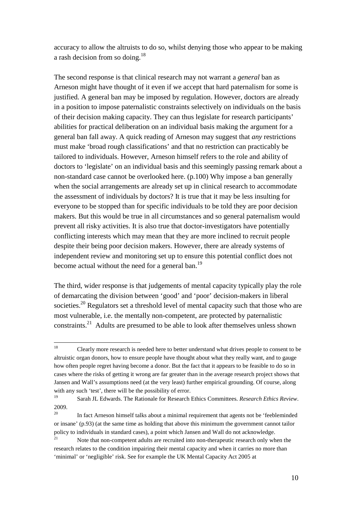accuracy to allow the altruists to do so, whilst denying those who appear to be making a rash decision from so doing.<sup>18</sup>

The second response is that clinical research may not warrant a *general* ban as Arneson might have thought of it even if we accept that hard paternalism for some is justified. A general ban may be imposed by regulation. However, doctors are already in a position to impose paternalistic constraints selectively on individuals on the basis of their decision making capacity. They can thus legislate for research participants' abilities for practical deliberation on an individual basis making the argument for a general ban fall away. A quick reading of Arneson may suggest that *any* restrictions must make 'broad rough classifications' and that no restriction can practicably be tailored to individuals. However, Arneson himself refers to the role and ability of doctors to 'legislate' on an individual basis and this seemingly passing remark about a non-standard case cannot be overlooked here. (p.100) Why impose a ban generally when the social arrangements are already set up in clinical research to accommodate the assessment of individuals by doctors? It is true that it may be less insulting for everyone to be stopped than for specific individuals to be told they are poor decision makers. But this would be true in all circumstances and so general paternalism would prevent all risky activities. It is also true that doctor-investigators have potentially conflicting interests which may mean that they are more inclined to recruit people despite their being poor decision makers. However, there are already systems of independent review and monitoring set up to ensure this potential conflict does not become actual without the need for a general ban.<sup>19</sup>

The third, wider response is that judgements of mental capacity typically play the role of demarcating the division between 'good' and 'poor' decision-makers in liberal societies.<sup>20</sup> Regulators set a threshold level of mental capacity such that those who are most vulnerable, i.e. the mentally non-competent, are protected by paternalistic constraints.<sup>21</sup> Adults are presumed to be able to look after themselves unless shown

<sup>&</sup>lt;sup>18</sup> Clearly more research is needed here to better understand what drives people to consent to be altruistic organ donors, how to ensure people have thought about what they really want, and to gauge how often people regret having become a donor. But the fact that it appears to be feasible to do so in cases where the risks of getting it wrong are far greater than in the average research project shows that Jansen and Wall's assumptions need (at the very least) further empirical grounding. Of course, along with any such 'test', there will be the possibility of error.

<sup>19</sup> Sarah JL Edwards. The Rationale for Research Ethics Committees. *Research Ethics Review*. 2009.

<sup>&</sup>lt;sup>20</sup> In fact Arneson himself talks about a minimal requirement that agents not be 'feebleminded or insane' (p.93) (at the same time as holding that above this minimum the government cannot tailor policy to individuals in standard cases), a point which Jansen and Wall do not acknowledge.

Note that non-competent adults are recruited into non-therapeutic research only when the research relates to the condition impairing their mental capacity and when it carries no more than 'minimal' or 'negligible' risk. See for example the UK Mental Capacity Act 2005 at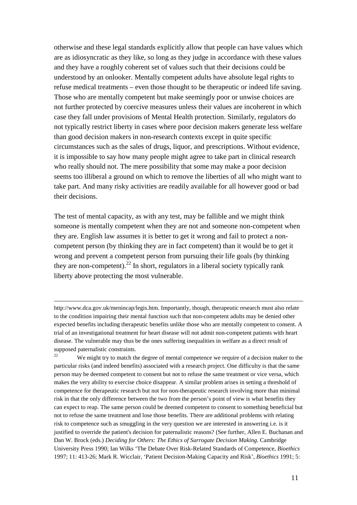otherwise and these legal standards explicitly allow that people can have values which are as idiosyncratic as they like, so long as they judge in accordance with these values and they have a roughly coherent set of values such that their decisions could be understood by an onlooker. Mentally competent adults have absolute legal rights to refuse medical treatments – even those thought to be therapeutic or indeed life saving. Those who are mentally competent but make seemingly poor or unwise choices are not further protected by coercive measures unless their values are incoherent in which case they fall under provisions of Mental Health protection. Similarly, regulators do not typically restrict liberty in cases where poor decision makers generate less welfare than good decision makers in non-research contexts except in quite specific circumstances such as the sales of drugs, liquor, and prescriptions. Without evidence, it is impossible to say how many people might agree to take part in clinical research who really should not. The mere possibility that some may make a poor decision seems too illiberal a ground on which to remove the liberties of all who might want to take part. And many risky activities are readily available for all however good or bad their decisions.

The test of mental capacity, as with any test, may be fallible and we might think someone is mentally competent when they are not and someone non-competent when they are. English law assumes it is better to get it wrong and fail to protect a noncompetent person (by thinking they are in fact competent) than it would be to get it wrong and prevent a competent person from pursuing their life goals (by thinking they are non-competent).<sup>22</sup> In short, regulators in a liberal society typically rank liberty above protecting the most vulnerable.

http://www.dca.gov.uk/menincap/legis.htm. Importantly, though, therapeutic research must also relate to the condition impairing their mental function such that non-competent adults may be denied other expected benefits including therapeutic benefits unlike those who are mentally competent to consent. A trial of an investigational treatment for heart disease will not admit non-competent patients with heart disease. The vulnerable may thus be the ones suffering inequalities in welfare as a direct result of supposed paternalistic constraints.

<sup>&</sup>lt;sup>22</sup> We might try to match the degree of mental competence we require of a decision maker to the particular risks (and indeed benefits) associated with a research project. One difficulty is that the same person may be deemed competent to consent but not to refuse the same treatment or vice versa, which makes the very ability to exercise choice disappear. A similar problem arises in setting a threshold of competence for therapeutic research but not for non-therapeutic research involving more than minimal risk in that the only difference between the two from the person's point of view is what benefits they can expect to reap. The same person could be deemed competent to consent to something beneficial but not to refuse the same treatment and lose those benefits. There are additional problems with relating risk to competence such as smuggling in the very question we are interested in answering i.e. is it justified to override the patient's decision for paternalistic reasons? (See further, Allen E. Buchanan and Dan W. Brock (eds.) *Deciding for Others: The Ethics of Surrogate Decision Making*. Cambridge University Press 1990; Ian Wilks 'The Debate Over Risk-Related Standards of Competence, *Bioethics* 1997; 11: 413-26; Mark R. Wicclair, 'Patient Decision-Making Capacity and Risk', *Bioethics* 1991; 5: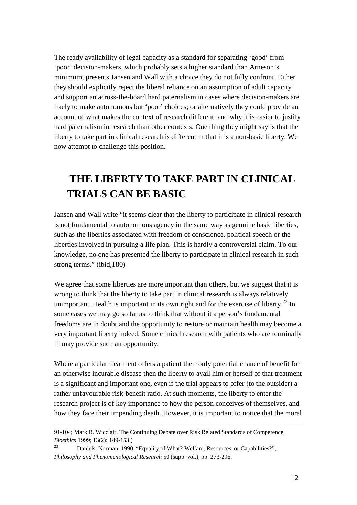The ready availability of legal capacity as a standard for separating 'good' from 'poor' decision-makers, which probably sets a higher standard than Arneson's minimum, presents Jansen and Wall with a choice they do not fully confront. Either they should explicitly reject the liberal reliance on an assumption of adult capacity and support an across-the-board hard paternalism in cases where decision-makers are likely to make autonomous but 'poor' choices; or alternatively they could provide an account of what makes the context of research different, and why it is easier to justify hard paternalism in research than other contexts. One thing they might say is that the liberty to take part in clinical research is different in that it is a non-basic liberty. We now attempt to challenge this position.

# **THE LIBERTY TO TAKE PART IN CLINICAL TRIALS CAN BE BASIC**

Jansen and Wall write "it seems clear that the liberty to participate in clinical research is not fundamental to autonomous agency in the same way as genuine basic liberties, such as the liberties associated with freedom of conscience, political speech or the liberties involved in pursuing a life plan. This is hardly a controversial claim. To our knowledge, no one has presented the liberty to participate in clinical research in such strong terms." (ibid,180)

We agree that some liberties are more important than others, but we suggest that it is wrong to think that the liberty to take part in clinical research is always relatively unimportant. Health is important in its own right and for the exercise of liberty.<sup>23</sup> In some cases we may go so far as to think that without it a person's fundamental freedoms are in doubt and the opportunity to restore or maintain health may become a very important liberty indeed. Some clinical research with patients who are terminally ill may provide such an opportunity.

Where a particular treatment offers a patient their only potential chance of benefit for an otherwise incurable disease then the liberty to avail him or herself of that treatment is a significant and important one, even if the trial appears to offer (to the outsider) a rather unfavourable risk-benefit ratio. At such moments, the liberty to enter the research project is of key importance to how the person conceives of themselves, and how they face their impending death. However, it is important to notice that the moral

<sup>91-104;</sup> Mark R. Wicclair. The Continuing Debate over Risk Related Standards of Competence. *Bioethics* 1999; 13(2): 149-153.)

<sup>23</sup> Daniels, Norman, 1990, "Equality of What? Welfare, Resources, or Capabilities?", *Philosophy and Phenomenological Research* 50 (supp. vol.), pp. 273-296.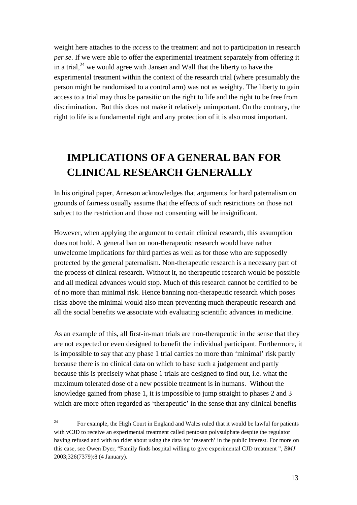weight here attaches to the *access* to the treatment and not to participation in research *per se*. If we were able to offer the experimental treatment separately from offering it in a trial, $^{24}$  we would agree with Jansen and Wall that the liberty to have the experimental treatment within the context of the research trial (where presumably the person might be randomised to a control arm) was not as weighty. The liberty to gain access to a trial may thus be parasitic on the right to life and the right to be free from discrimination. But this does not make it relatively unimportant. On the contrary, the right to life is a fundamental right and any protection of it is also most important.

# **IMPLICATIONS OF A GENERAL BAN FOR CLINICAL RESEARCH GENERALLY**

In his original paper, Arneson acknowledges that arguments for hard paternalism on grounds of fairness usually assume that the effects of such restrictions on those not subject to the restriction and those not consenting will be insignificant.

However, when applying the argument to certain clinical research, this assumption does not hold. A general ban on non-therapeutic research would have rather unwelcome implications for third parties as well as for those who are supposedly protected by the general paternalism. Non-therapeutic research is a necessary part of the process of clinical research. Without it, no therapeutic research would be possible and all medical advances would stop. Much of this research cannot be certified to be of no more than minimal risk. Hence banning non-therapeutic research which poses risks above the minimal would also mean preventing much therapeutic research and all the social benefits we associate with evaluating scientific advances in medicine.

As an example of this, all first-in-man trials are non-therapeutic in the sense that they are not expected or even designed to benefit the individual participant. Furthermore, it is impossible to say that any phase 1 trial carries no more than 'minimal' risk partly because there is no clinical data on which to base such a judgement and partly because this is precisely what phase 1 trials are designed to find out, i.e. what the maximum tolerated dose of a new possible treatment is in humans. Without the knowledge gained from phase 1, it is impossible to jump straight to phases 2 and 3 which are more often regarded as 'therapeutic' in the sense that any clinical benefits

<sup>&</sup>lt;sup>24</sup> For example, the High Court in England and Wales ruled that it would be lawful for patients with vCJD to receive an experimental treatment called pentosan polysulphate despite the regulator having refused and with no rider about using the data for 'research' in the public interest. For more on this case, see Owen Dyer, "Family finds hospital willing to give experimental CJD treatment ", *BMJ* 2003;326(7379):8 (4 January).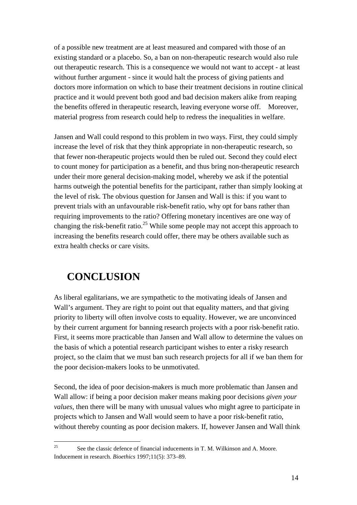of a possible new treatment are at least measured and compared with those of an existing standard or a placebo. So, a ban on non-therapeutic research would also rule out therapeutic research. This is a consequence we would not want to accept - at least without further argument - since it would halt the process of giving patients and doctors more information on which to base their treatment decisions in routine clinical practice and it would prevent both good and bad decision makers alike from reaping the benefits offered in therapeutic research, leaving everyone worse off. Moreover, material progress from research could help to redress the inequalities in welfare.

Jansen and Wall could respond to this problem in two ways. First, they could simply increase the level of risk that they think appropriate in non-therapeutic research, so that fewer non-therapeutic projects would then be ruled out. Second they could elect to count money for participation as a benefit, and thus bring non-therapeutic research under their more general decision-making model, whereby we ask if the potential harms outweigh the potential benefits for the participant, rather than simply looking at the level of risk. The obvious question for Jansen and Wall is this: if you want to prevent trials with an unfavourable risk-benefit ratio, why opt for bans rather than requiring improvements to the ratio? Offering monetary incentives are one way of changing the risk-benefit ratio.<sup>25</sup> While some people may not accept this approach to increasing the benefits research could offer, there may be others available such as extra health checks or care visits.

#### **CONCLUSION**

As liberal egalitarians, we are sympathetic to the motivating ideals of Jansen and Wall's argument. They are right to point out that equality matters, and that giving priority to liberty will often involve costs to equality. However, we are unconvinced by their current argument for banning research projects with a poor risk-benefit ratio. First, it seems more practicable than Jansen and Wall allow to determine the values on the basis of which a potential research participant wishes to enter a risky research project, so the claim that we must ban such research projects for all if we ban them for the poor decision-makers looks to be unmotivated.

Second, the idea of poor decision-makers is much more problematic than Jansen and Wall allow: if being a poor decision maker means making poor decisions *given your values,* then there will be many with unusual values who might agree to participate in projects which to Jansen and Wall would seem to have a poor risk-benefit ratio, without thereby counting as poor decision makers. If, however Jansen and Wall think

<sup>&</sup>lt;sup>25</sup> See the classic defence of financial inducements in T. M. Wilkinson and A. Moore. Inducement in research. *Bioethics* 1997;11(5): 373–89.